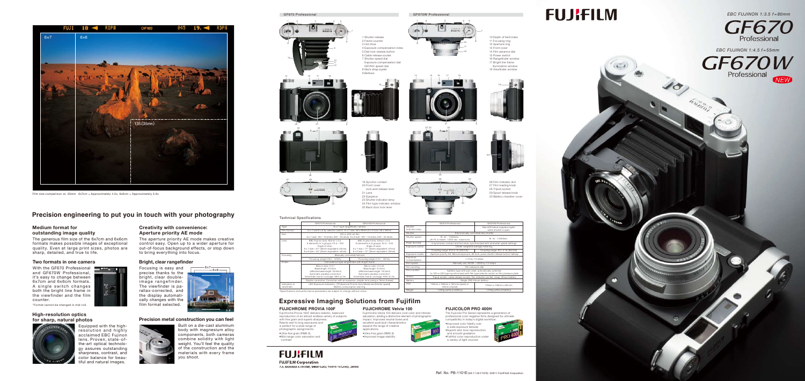

*EBC FUJINON 1:3.5 f = 80mm*



*EBC FUJINON 1:4.5 f = 55mm*



Fujichrome Provia 100F delivers realistic, balanced reproduction of an almost endless variety of subjects with fine grain and superb sharpness. Reacts well to long exposures and is perfect for a wide range of photographic assignments. •Ultra-fine grain (RMS 8) •Mid-range color saturation and contrast

### **Expressive Imaging Solutions from Fujifilm**

### **FUJICHROME PROVIA 100F**

### **FUJICHROME Velvia 100**





•Improved image stability

### **FUJIFILM**

**FUJIFILM Corporation** 7-3, AKASAKA 9-CHOME, MINATO-KU, TOKYO 107-0052, JAPAN

### **FUJICOLOR PRO 400H**

The Fujicolor Pro Series represents a generation of professional color negative films designed for ultimate compatibility in today's digital workflow. •Improved color fidelity over a wide exposure latitude •Superb skin tone reproduction and smooth gradation •Faithful color reproduction under a variety of light sources



# **FUJIFILM**

### **Precision engineering to put you in touch with your photography**

### **Medium format for outstanding image quality**

With the GF670 Professional and GF670W Professional, it's easy to change between 6x7cm and 6x6cm formats. A single switch changes both the bright line frame in the viewfinder and the film counter.

The generous film size of the 6x7cm and 6x6cm formats makes possible images of exceptional quality. Even at large print sizes, photos are sharp, detailed, and true to life.

### **Creativity with convenience: Aperture priority AE mode**

The aperture priority AE mode makes creative control easy. Open up to a wider aperture for out-of-focus background effects, or stop down to bring everything into focus.

### **High-resolution optics for sharp, natural photos**



Equipped with the highresolution and highly acclaimed EBC Fujinon lens. Proven, state-ofthe-art optical technology assures outstanding sharpness, contrast, and color balance for beautiful and natural images.

### **Bright, clear rangefinder**



Film size comparison vs. 35mm 6x7cm = Approximately 4.5x, 6x6cm = Approximately 3.6x

Focusing is easy and precise thanks to the bright, clear doubleimage rangefinder. The viewfinder is parallax-corrected, and the display automatically changes with the film format selected.

### **Precision metal construction you can feel**



Built on a die-cast aluminum body with magnesium alloy components, both cameras combine solidity with light weight. You'll feel the quality of the construction and the materials with every frame you shoot.

### **Two formats in one camera**

\*Format cannot be changed in mid-roll.

#### Technical Specifications

|                                                                                  | GF670 Professional                                                                                                                                                                                                                                         | GF670W Professional                                                                                                                                    |                           | GF670 Professional                                                                                                                             | GF670W Professional                                   |
|----------------------------------------------------------------------------------|------------------------------------------------------------------------------------------------------------------------------------------------------------------------------------------------------------------------------------------------------------|--------------------------------------------------------------------------------------------------------------------------------------------------------|---------------------------|------------------------------------------------------------------------------------------------------------------------------------------------|-------------------------------------------------------|
| Type                                                                             | 6 x 7 type rangefinder camera                                                                                                                                                                                                                              |                                                                                                                                                        | Shutter<br>indicator lamp |                                                                                                                                                | Red LED below eyepiece lights<br>when shutter is open |
| Film format                                                                      | $6 \times 7$ and $6 \times 6$ by selector switch, $6 \times 7$ size: $56 \times 69$ mm, $6 \times 6$ size: $56 \times 56$ mm                                                                                                                               |                                                                                                                                                        |                           |                                                                                                                                                |                                                       |
| Film<br>I ens                                                                    | 120 or 220 roll film<br>6 x 7 size: 120 - 10 shots; 220 - 20 shots, 6 x 6 size: 120 - 12 shots; 220 - 24 shots<br>EBC Fujinon lens; 80mm 1:3.5<br>EBC Fujinon lens; 55mm 1:4.5                                                                             |                                                                                                                                                        | Shutter                   | Electronically controlled lens shutter                                                                                                         |                                                       |
|                                                                                  |                                                                                                                                                                                                                                                            |                                                                                                                                                        | Shutter speed             | B. 4s - 1/500sec.<br>(At F4 or faster: 1/250 sec. maximum)                                                                                     | B. 4s - 1/500sec.                                     |
|                                                                                  | 6 elements in 4 groups; F3.5 - F22<br>Angle of view:<br>Angle of view:<br>$6 \times 7$ size = $77^{\circ}$ (35mm equivalent: 27mm)<br>$6 \times 7$ size = $57^{\circ}$ (35mm equivalent: 40mm)<br>$6 \times 6$ size = 53 $\degree$ (35mm equivalent: 44mm) | 10 elements in 8 groups; F4.5 - F22                                                                                                                    | Flash terminal            | X synchronic contact and hot shoe, synchronized with all shutter speed settings                                                                |                                                       |
|                                                                                  |                                                                                                                                                                                                                                                            |                                                                                                                                                        | Exposure control          | Center weighted average metering,                                                                                                              |                                                       |
|                                                                                  |                                                                                                                                                                                                                                                            | $6 \times 6$ size = $72^{\circ}$ (35mm equivalent: 30mm)                                                                                               |                           | Coupling range: EV0.5-18 (ISO100)                                                                                                              | Coupling range: EV1.3-18 (ISO100)                     |
| Focusing                                                                         | Manually controlled helicoid                                                                                                                                                                                                                               |                                                                                                                                                        | Exposure modes            | Aperture priority AE, Manual exposure, AE lock: press shutter release button halfway                                                           |                                                       |
|                                                                                  | Focusing range 0.9m - infinity                                                                                                                                                                                                                             | Focusing range 0.7m - infinity                                                                                                                         | Exposure<br>compensation  | $+/-2$ by $1/3$ steps                                                                                                                          |                                                       |
| Finder                                                                           | Coincidence type rangefinder with bright frame                                                                                                                                                                                                             |                                                                                                                                                        | Film speed                | Manually set; ISO25 - 3200 by 1/3 steps                                                                                                        |                                                       |
|                                                                                  | Macro ratio: X 0.7<br>Base length: 37.0mm<br>(effective base length: 25.9mm)<br>Automatic parallax correction<br>Viewfinder frame coverage: 88% at 3m                                                                                                      | Macro ratio: X 0.52<br>Base length: 37.2mm<br>(effective base length: 19.3mm)<br>Automatic parallax correction<br>Viewfinder frame coverage: 90% at 3m | Film winding              | Film advance dial                                                                                                                              |                                                       |
|                                                                                  |                                                                                                                                                                                                                                                            |                                                                                                                                                        | Film counter              | Additive type with auto reset, automatically switched<br>to 120 or 220 type synchronized with film type selector switch on film pressure plate |                                                       |
|                                                                                  |                                                                                                                                                                                                                                                            |                                                                                                                                                        | Others                    | Tripod socket, cable release socket, film indicator pocket, strap, lithium battery                                                             |                                                       |
|                                                                                  | Diopter correction: Correction with an eyepiece, diopter lens (using a 19mm thread)                                                                                                                                                                        |                                                                                                                                                        | Battery                   | Single CR2 lithium battery                                                                                                                     |                                                       |
| Indicators in<br>viewfinder                                                      | LED Exposure indication, ("A" (Aperture Priority Auto Mode) and Shutter speed)<br>Battery consumption warning                                                                                                                                              |                                                                                                                                                        | Size                      | 178mm x 109mm x 138 mm (open) or<br>64mm (closed)                                                                                              | 178mm x 109mm x 89 mm                                 |
| *Specifications and performance parameters are subject to change without notice. |                                                                                                                                                                                                                                                            |                                                                                                                                                        | Weight                    | 1,000g (without battery)                                                                                                                       | 1,100g (without battery)                              |
|                                                                                  |                                                                                                                                                                                                                                                            |                                                                                                                                                        |                           |                                                                                                                                                |                                                       |









25



10 Depth of field index 11 Focusing ring 12 Aperture ring 13 Front cover 14 Film advance dial 15 Power switch 16 Rangefinder window 17 Bright line frame

26 Film indicator slot 27 Film loading knob 28 Tripod socket 29 Spool release knob 30 Battery chamber cover